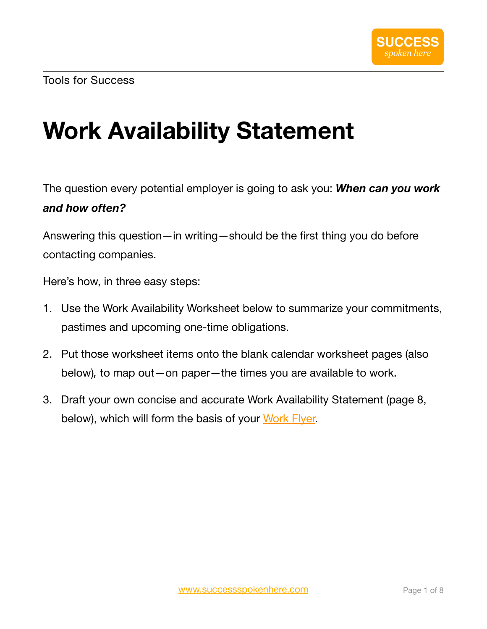# **Work Availability Statement**

The question every potential employer is going to ask you: *When can you work and how often?*

Answering this question—in writing—should be the first thing you do before contacting companies.

Here's how, in three easy steps:

- 1. Use the Work Availability Worksheet below to summarize your commitments, pastimes and upcoming one-time obligations.
- 2. Put those worksheet items onto the blank calendar worksheet pages (also below)*,* to map out—on paper—the times you are available to work.
- 3. Draft your own concise and accurate Work Availability Statement (page 8, below), which will form the basis of your [Work Flyer.](https://www.successspokenhere.com/tools_work_flyer.html)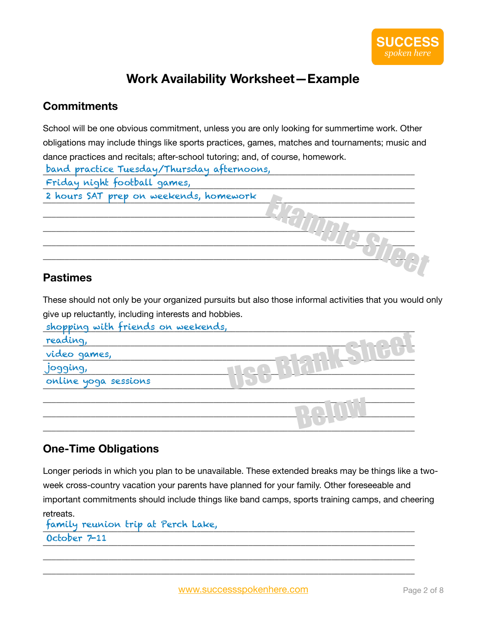## **Work Availability Worksheet—Example**

#### **Commitments**

School will be one obvious commitment, unless you are only looking for summertime work. Other obligations may include things like sports practices, games, matches and tournaments; music and dance practices and recitals; after-school tutoring; and, of course, homework.

| band practice Tuesday/Thursday afternoons, |  |
|--------------------------------------------|--|
| Friday night football games,               |  |
| 2 hours SAT prep on weekends, homework     |  |
|                                            |  |
|                                            |  |
|                                            |  |
|                                            |  |
|                                            |  |
| $D_{\alpha\alpha}$ timaan                  |  |

#### **Pastimes**

These should not only be your organized pursuits but also those informal activities that you would only give up reluctantly, including interests and hobbies.

| shopping with friends on weekends, |  |
|------------------------------------|--|
| reading,                           |  |
| video games,                       |  |
| jogging,                           |  |
| online yoga sessions               |  |
|                                    |  |
|                                    |  |
|                                    |  |

### **One-Time Obligations**

Longer periods in which you plan to be unavailable. These extended breaks may be things like a twoweek cross-country vacation your parents have planned for your family. Other foreseeable and important commitments should include things like band camps, sports training camps, and cheering retreats.

```
_____________________________________________________________________________________
family reunion trip at Perch Lake, 
\frac{1}{2}October 7-11
```
\_\_\_\_\_\_\_\_\_\_\_\_\_\_\_\_\_\_\_\_\_\_\_\_\_\_\_\_\_\_\_\_\_\_\_\_\_\_\_\_\_\_\_\_\_\_\_\_\_\_\_\_\_\_\_\_\_\_\_\_\_\_\_\_\_\_\_\_\_\_\_\_\_\_\_\_\_\_\_\_\_\_\_\_\_ \_\_\_\_\_\_\_\_\_\_\_\_\_\_\_\_\_\_\_\_\_\_\_\_\_\_\_\_\_\_\_\_\_\_\_\_\_\_\_\_\_\_\_\_\_\_\_\_\_\_\_\_\_\_\_\_\_\_\_\_\_\_\_\_\_\_\_\_\_\_\_\_\_\_\_\_\_\_\_\_\_\_\_\_\_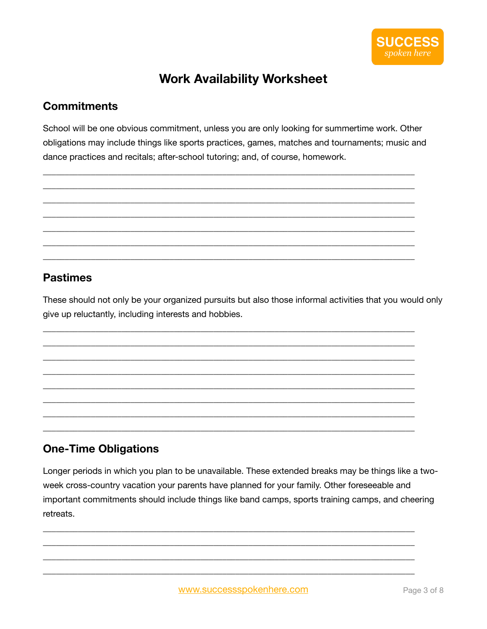

## **Work Availability Worksheet**

#### **Commitments**

School will be one obvious commitment, unless you are only looking for summertime work. Other obligations may include things like sports practices, games, matches and tournaments; music and dance practices and recitals; after-school tutoring; and, of course, homework.

### **Pastimes**

These should not only be your organized pursuits but also those informal activities that you would only give up reluctantly, including interests and hobbies.

### **One-Time Obligations**

Longer periods in which you plan to be unavailable. These extended breaks may be things like a twoweek cross-country vacation your parents have planned for your family. Other foreseeable and important commitments should include things like band camps, sports training camps, and cheering retreats.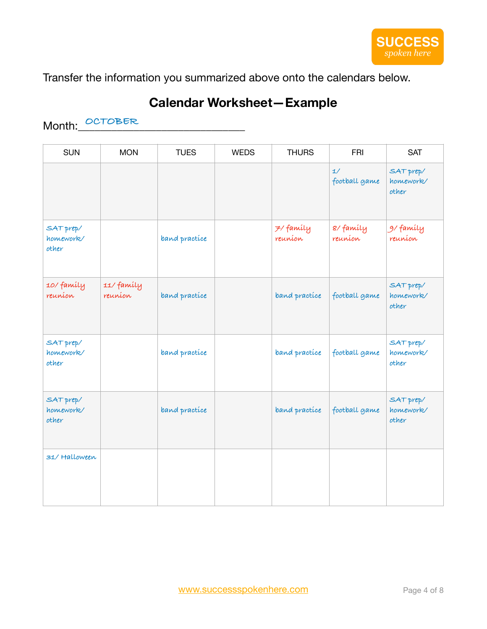Transfer the information you summarized above onto the calendars below.

## **Calendar Worksheet—Example**

## Month:\_\_\_\_\_\_\_\_\_\_\_\_\_\_\_\_\_\_\_\_\_\_\_\_\_\_\_\_\_\_ **OCTOBER**

| <b>SUN</b>                      | <b>MON</b>            | <b>TUES</b>   | <b>WEDS</b> | <b>THURS</b>         | <b>FRI</b>          | <b>SAT</b>                      |
|---------------------------------|-----------------------|---------------|-------------|----------------------|---------------------|---------------------------------|
|                                 |                       |               |             |                      | 1/<br>football game | SAT prep/<br>homework/<br>other |
| SAT prep/<br>homework/<br>other |                       | band practice |             | 7/ family<br>reunion | 8/family<br>reunion | 91 family<br>reunion            |
| 10/family<br>reunion            | 11/ family<br>reunion | band practice |             | band practice        | football game       | SAT prep/<br>homework/<br>other |
| SAT prep/<br>homework/<br>other |                       | band practice |             | band practice        | football game       | SAT prep/<br>homework/<br>other |
| SAT prep/<br>homework/<br>other |                       | band practice |             | band practice        | football game       | SAT prep/<br>homework/<br>other |
| 31/ Halloween                   |                       |               |             |                      |                     |                                 |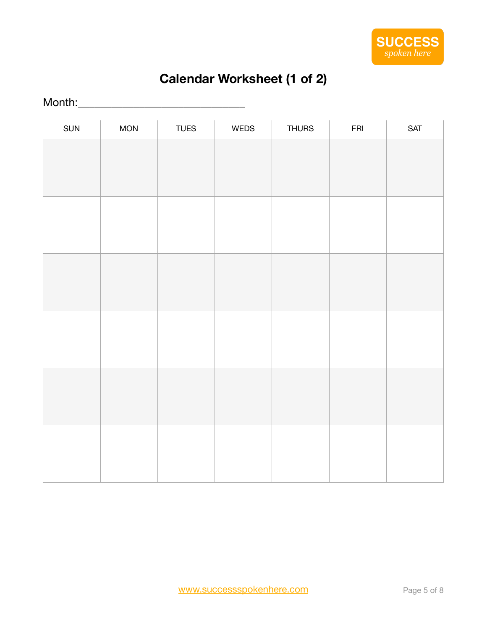

# **Calendar Worksheet (1 of 2)**

## Month:\_\_\_\_\_\_\_\_\_\_\_\_\_\_\_\_\_\_\_\_\_\_\_\_\_\_\_\_\_\_

| SUN | <b>MON</b> | <b>TUES</b> | WEDS | <b>THURS</b> | ${\sf FRI}$ | <b>SAT</b> |
|-----|------------|-------------|------|--------------|-------------|------------|
|     |            |             |      |              |             |            |
|     |            |             |      |              |             |            |
|     |            |             |      |              |             |            |
|     |            |             |      |              |             |            |
|     |            |             |      |              |             |            |
|     |            |             |      |              |             |            |
|     |            |             |      |              |             |            |
|     |            |             |      |              |             |            |
|     |            |             |      |              |             |            |
|     |            |             |      |              |             |            |
|     |            |             |      |              |             |            |
|     |            |             |      |              |             |            |
|     |            |             |      |              |             |            |
|     |            |             |      |              |             |            |
|     |            |             |      |              |             |            |
|     |            |             |      |              |             |            |
|     |            |             |      |              |             |            |
|     |            |             |      |              |             |            |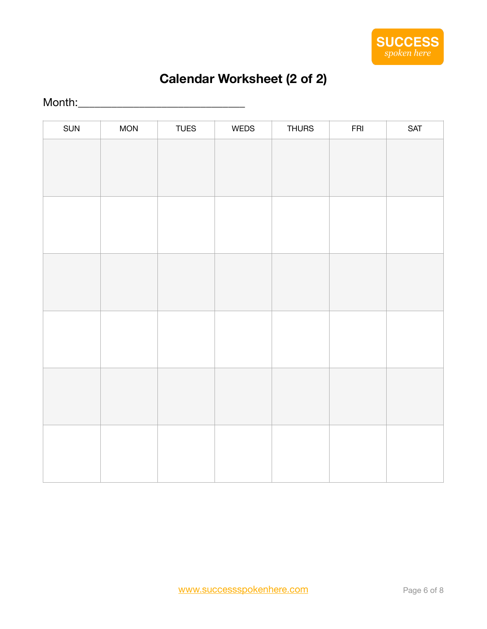

# **Calendar Worksheet (2 of 2)**

## Month:\_\_\_\_\_\_\_\_\_\_\_\_\_\_\_\_\_\_\_\_\_\_\_\_\_\_\_\_\_\_

| SUN | <b>MON</b> | <b>TUES</b> | WEDS | <b>THURS</b> | ${\sf FRI}$ | <b>SAT</b> |
|-----|------------|-------------|------|--------------|-------------|------------|
|     |            |             |      |              |             |            |
|     |            |             |      |              |             |            |
|     |            |             |      |              |             |            |
|     |            |             |      |              |             |            |
|     |            |             |      |              |             |            |
|     |            |             |      |              |             |            |
|     |            |             |      |              |             |            |
|     |            |             |      |              |             |            |
|     |            |             |      |              |             |            |
|     |            |             |      |              |             |            |
|     |            |             |      |              |             |            |
|     |            |             |      |              |             |            |
|     |            |             |      |              |             |            |
|     |            |             |      |              |             |            |
|     |            |             |      |              |             |            |
|     |            |             |      |              |             |            |
|     |            |             |      |              |             |            |
|     |            |             |      |              |             |            |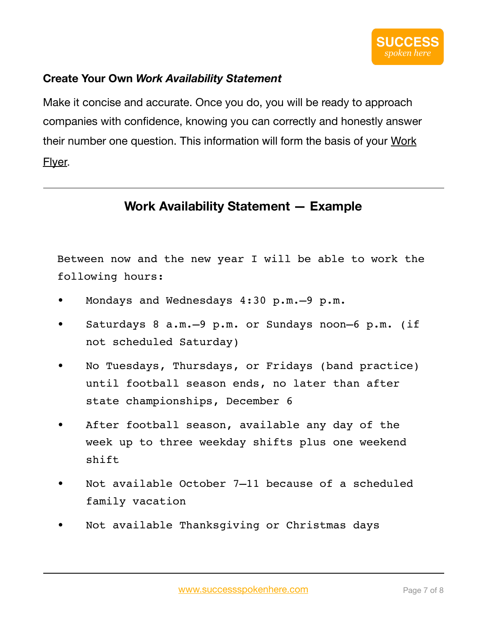### **Create Your Own** *Work Availability Statement*

Make it concise and accurate. Once you do, you will be ready to approach companies with confidence, knowing you can correctly and honestly answer their number one question. This information will form the basis of your Work Flyer.

## **Work Availability Statement — Example**

Between now and the new year I will be able to work the following hours:

- Mondays and Wednesdays 4:30 p.m.–9 p.m.
- Saturdays 8 a.m. 9 p.m. or Sundays noon-6 p.m. (if not scheduled Saturday)
- No Tuesdays, Thursdays, or Fridays (band practice) until football season ends, no later than after state championships, December 6
- After football season, available any day of the week up to three weekday shifts plus one weekend shift
- Not available October 7-11 because of a scheduled family vacation
- Not available Thanksgiving or Christmas days